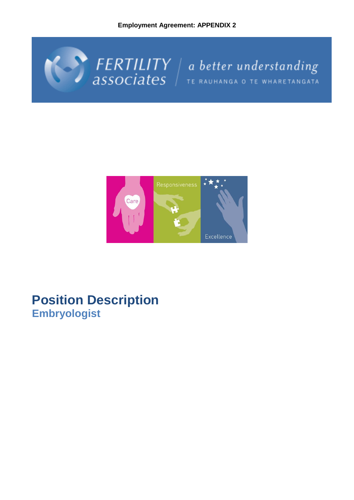



# **Position Description Embryologist**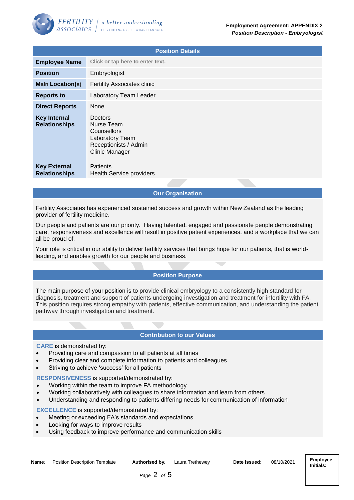| <b>Position Details</b>                     |                                                                                                           |  |  |  |
|---------------------------------------------|-----------------------------------------------------------------------------------------------------------|--|--|--|
| <b>Employee Name</b>                        | Click or tap here to enter text.                                                                          |  |  |  |
| <b>Position</b>                             | Embryologist                                                                                              |  |  |  |
| <b>Main Location(s)</b>                     | <b>Fertility Associates clinic</b>                                                                        |  |  |  |
| <b>Reports to</b>                           | Laboratory Team Leader                                                                                    |  |  |  |
| <b>Direct Reports</b>                       | None                                                                                                      |  |  |  |
| <b>Key Internal</b><br><b>Relationships</b> | Doctors<br>Nurse Team<br>Counsellors<br>Laboratory Team<br>Receptionists / Admin<br><b>Clinic Manager</b> |  |  |  |
| <b>Key External</b><br><b>Relationships</b> | <b>Patients</b><br>Health Service providers                                                               |  |  |  |

## **Our Organisation**

Fertility Associates has experienced sustained success and growth within New Zealand as the leading provider of fertility medicine.

Our people and patients are our priority. Having talented, engaged and passionate people demonstrating care, responsiveness and excellence will result in positive patient experiences, and a workplace that we can all be proud of.

Your role is critical in our ability to deliver fertility services that brings hope for our patients, that is worldleading, and enables growth for our people and business.

## **Position Purpose**

The main purpose of your position is to provide clinical embryology to a consistently high standard for diagnosis, treatment and support of patients undergoing investigation and treatment for infertility with FA. This position requires strong empathy with patients, effective communication, and understanding the patient pathway through investigation and treatment.

## **Contribution to our Values**

#### **CARE** is demonstrated by:

- Providing care and compassion to all patients at all times
- Providing clear and complete information to patients and colleagues
- Striving to achieve 'success' for all patients

#### **RESPONSIVENESS** is supported/demonstrated by:

- Working within the team to improve FA methodology
- Working collaboratively with colleagues to share information and learn from others
- Understanding and responding to patients differing needs for communication of information

**EXCELLENCE** is supported/demonstrated by:

- Meeting or exceeding FA's standards and expectations
- Looking for ways to improve results
- Using feedback to improve performance and communication skills

| Name | emplate<br>Description<br>Position | thoricad<br>bv:<br>156 U | l rethewev<br>Laura | Date<br>issued: | 08/10/2021 | Employee<br>.       |
|------|------------------------------------|--------------------------|---------------------|-----------------|------------|---------------------|
|      |                                    |                          |                     |                 |            | Initials.<br>______ |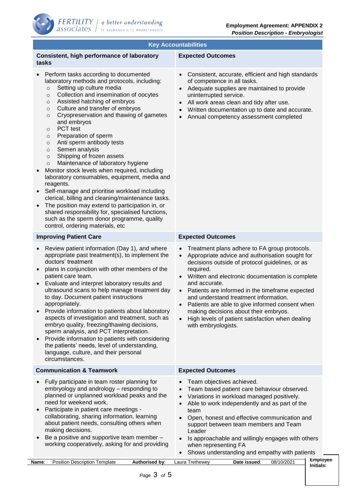| <b>Key Accountabilities</b>                                                                                                                                                                                                                                                                                                                                                                                                                                                                                                                                                                                                                                                                                                                                                                                                                                                                                                                                                                       |                                                                                                                                                                                                                                                                                                                                                                                                                                                                                                                                                     |  |  |  |  |
|---------------------------------------------------------------------------------------------------------------------------------------------------------------------------------------------------------------------------------------------------------------------------------------------------------------------------------------------------------------------------------------------------------------------------------------------------------------------------------------------------------------------------------------------------------------------------------------------------------------------------------------------------------------------------------------------------------------------------------------------------------------------------------------------------------------------------------------------------------------------------------------------------------------------------------------------------------------------------------------------------|-----------------------------------------------------------------------------------------------------------------------------------------------------------------------------------------------------------------------------------------------------------------------------------------------------------------------------------------------------------------------------------------------------------------------------------------------------------------------------------------------------------------------------------------------------|--|--|--|--|
| Consistent, high performance of laboratory<br>tasks                                                                                                                                                                                                                                                                                                                                                                                                                                                                                                                                                                                                                                                                                                                                                                                                                                                                                                                                               | <b>Expected Outcomes</b>                                                                                                                                                                                                                                                                                                                                                                                                                                                                                                                            |  |  |  |  |
| Perform tasks according to documented<br>laboratory methods and protocols, including:<br>Setting up culture media<br>$\circ$<br>Collection and insemination of oocytes<br>$\circ$<br>Assisted hatching of embryos<br>$\circ$<br>Culture and transfer of embryos<br>$\circ$<br>Cryopreservation and thawing of gametes<br>$\circ$<br>and embryos<br>PCT test<br>$\circ$<br>Preparation of sperm<br>$\circ$<br>Anti sperm antibody tests<br>$\circ$<br>Semen analysis<br>$\circ$<br>Shipping of frozen assets<br>$\circ$<br>Maintenance of laboratory hygiene<br>$\circ$<br>Monitor stock levels when required, including<br>$\bullet$<br>laboratory consumables, equipment, media and<br>reagents.<br>Self-manage and prioritise workload including<br>clerical, billing and cleaning/maintenance tasks.<br>The position may extend to participation in, or<br>shared responsibility for, specialised functions,<br>such as the sperm donor programme, quality<br>control, ordering materials, etc | Consistent, accurate, efficient and high standards<br>$\bullet$<br>of competence in all tasks.<br>Adequate supplies are maintained to provide<br>uninterrupted service.<br>All work areas clean and tidy after use.<br>Written documentation up to date and accurate.<br>$\bullet$<br>Annual competency assessment completed<br>$\bullet$                                                                                                                                                                                                           |  |  |  |  |
| <b>Improving Patient Care</b>                                                                                                                                                                                                                                                                                                                                                                                                                                                                                                                                                                                                                                                                                                                                                                                                                                                                                                                                                                     | <b>Expected Outcomes</b>                                                                                                                                                                                                                                                                                                                                                                                                                                                                                                                            |  |  |  |  |
| Review patient information (Day 1), and where<br>$\bullet$<br>appropriate past treatment(s), to implement the<br>doctors' treatment<br>plans in conjunction with other members of the<br>patient care team.<br>Evaluate and interpret laboratory results and<br>$\bullet$<br>ultrasound scans to help manage treatment day<br>to day. Document patient instructions<br>appropriately.<br>Provide information to patients about laboratory<br>$\bullet$<br>aspects of investigation and treatment, such as<br>embryo quality, freezing/thawing decisions,<br>sperm analysis, and PCT interpretation.<br>Provide information to patients with considering<br>$\bullet$<br>the patients' needs, level of understanding,<br>language, culture, and their personal<br>circumstances.                                                                                                                                                                                                                   | Treatment plans adhere to FA group protocols.<br>$\bullet$<br>Appropriate advice and authorisation sought for<br>$\bullet$<br>decisions outside of protocol guidelines, or as<br>required.<br>• Written and electronic documentation is complete<br>and accurate.<br>• Patients are informed in the timeframe expected<br>and understand treatment information.<br>Patients are able to give informed consent when<br>making decisions about their embryos.<br>High levels of patient satisfaction when dealing<br>$\bullet$<br>with embryologists. |  |  |  |  |
| <b>Communication &amp; Teamwork</b>                                                                                                                                                                                                                                                                                                                                                                                                                                                                                                                                                                                                                                                                                                                                                                                                                                                                                                                                                               | <b>Expected Outcomes</b>                                                                                                                                                                                                                                                                                                                                                                                                                                                                                                                            |  |  |  |  |
| Fully participate in team roster planning for<br>embryology and andrology - responding to<br>planned or unplanned workload peaks and the<br>need for weekend work.<br>Participate in patient care meetings -<br>$\bullet$<br>collaborating, sharing information, learning<br>about patient needs, consulting others when<br>making decisions.<br>Be a positive and supportive team member -<br>$\bullet$<br>working cooperatively, asking for and providing                                                                                                                                                                                                                                                                                                                                                                                                                                                                                                                                       | Team objectives achieved.<br>Team based patient care behaviour observed.<br>Variations in workload managed positively.<br>$\bullet$<br>Able to work independently and as part of the<br>$\bullet$<br>team<br>Open, honest and effective communication and<br>$\bullet$<br>support between team members and Team<br>Leader<br>Is approachable and willingly engages with others<br>$\bullet$<br>when representing FA<br>Shows understanding and empathy with patients<br>$\bullet$                                                                   |  |  |  |  |
| Position Description Template<br>Authorised by:<br>Name∶                                                                                                                                                                                                                                                                                                                                                                                                                                                                                                                                                                                                                                                                                                                                                                                                                                                                                                                                          | <b>Employee</b><br>08/10/2021<br>Laura Trethewey<br>Date issued:<br>Initials:                                                                                                                                                                                                                                                                                                                                                                                                                                                                       |  |  |  |  |

*Page* 3 *of* 5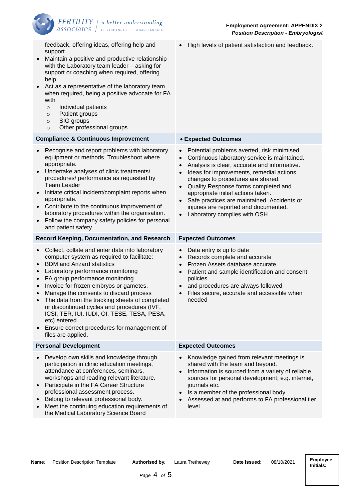

feedback, offering ideas, offering help and support. • Maintain a positive and productive relationship with the Laboratory team leader – asking for support or coaching when required, offering help. Act as a representative of the laboratory team when required, being a positive advocate for FA with o Individual patients o Patient groups o SIG groups o Other professional groups • High levels of patient satisfaction and feedback. **Compliance & Continuous Improvement** • **Expected Outcomes**  • Recognise and report problems with laboratory equipment or methods. Troubleshoot where appropriate. • Undertake analyses of clinic treatments/ procedures/ performance as requested by Team Leader • Initiate critical incident/complaint reports when appropriate. • Contribute to the continuous improvement of laboratory procedures within the organisation. • Follow the company safety policies for personal and patient safety. • Potential problems averted, risk minimised. • Continuous laboratory service is maintained. • Analysis is clear, accurate and informative. • Ideas for improvements, remedial actions, changes to procedures are shared. • Quality Response forms completed and appropriate initial actions taken. Safe practices are maintained. Accidents or injuries are reported and documented. Laboratory complies with OSH **Record Keeping, Documentation, and Research Expected Outcomes**  • Collect, collate and enter data into laboratory computer system as required to facilitate: • BDM and Anzard statistics • Laboratory performance monitoring • FA group performance monitoring • Invoice for frozen embryos or gametes. • Manage the consents to discard process The data from the tracking sheets of completed or discontinued cycles and procedures (IVF, ICSI, TER, IUI, IUDI, OI, TESE, TESA, PESA, etc) entered. • Ensure correct procedures for management of files are applied. Data entry is up to date Records complete and accurate • Frozen Assets database accurate • Patient and sample identification and consent policies • and procedures are always followed Files secure, accurate and accessible when needed **Personal Development Expected Outcomes** • Develop own skills and knowledge through participation in clinic education meetings, attendance at conferences, seminars, workshops and reading relevant literature. • Participate in the FA Career Structure professional assessment process. • Belong to relevant professional body. • Meet the continuing education requirements of the Medical Laboratory Science Board • Knowledge gained from relevant meetings is shared with the team and beyond. • Information is sourced from a variety of reliable sources for personal development; e.g. internet, journals etc. • Is a member of the professional body. • Assessed at and performs to FA professional tier level.